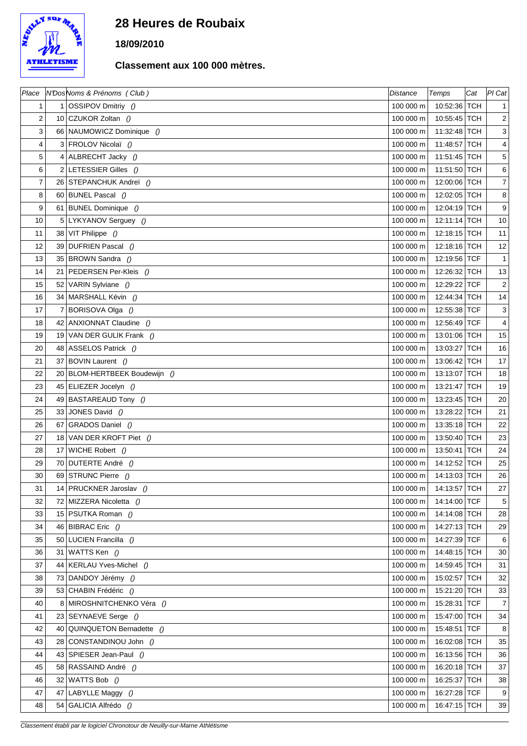

## **28 Heures de Roubaix**

**18/09/2010**

## **Classement aux 100 000 mètres.**

| Place          |                | N'DosNoms & Prénoms (Club)    | <b>Distance</b> | Temps        | Cat | PI Cat                    |
|----------------|----------------|-------------------------------|-----------------|--------------|-----|---------------------------|
| 1              | $\mathbf{1}$   | OSSIPOV Dmitriy ()            | 100 000 m       | 10:52:36 TCH |     | $\mathbf{1}$              |
| $\overline{c}$ |                | 10 CZUKOR Zoltan $()$         | 100 000 m       | 10:55:45 TCH |     | $\mathbf{2}$              |
| 3              |                | 66 NAUMOWICZ Dominique ()     | 100 000 m       | 11:32:48 TCH |     | $\ensuremath{\mathsf{3}}$ |
| 4              |                | 3 FROLOV Nicolaï ()           | 100 000 m       | 11:48:57 TCH |     | $\overline{4}$            |
| 5              |                | 4 ALBRECHT Jacky ()           | 100 000 m       | 11:51:45 TCH |     | $\,$ 5 $\,$               |
| 6              |                | 2 LETESSIER Gilles ()         | 100 000 m       | 11:51:50 TCH |     | 6                         |
| 7              |                | 26 STEPANCHUK Andrei ()       | 100 000 m       | 12:00:06 TCH |     | $\boldsymbol{7}$          |
| 8              |                | 60 BUNEL Pascal ()            | 100 000 m       | 12:02:05 TCH |     | $\bf 8$                   |
| 9              |                | 61 BUNEL Dominique ()         | 100 000 m       | 12:04:19 TCH |     | $\boldsymbol{9}$          |
| 10             |                | 5 LYKYANOV Serguey ()         | 100 000 m       | 12:11:14 TCH |     | $10\,$                    |
| 11             |                | 38 VIT Philippe ()            | 100 000 m       | 12:18:15 TCH |     | 11                        |
| 12             |                | 39 DUFRIEN Pascal $()$        | 100 000 m       | 12:18:16 TCH |     | 12                        |
| 13             |                | 35 BROWN Sandra ()            | 100 000 m       | 12:19:56 TCF |     | $\mathbf{1}$              |
| 14             |                | 21 PEDERSEN Per-Kleis ()      | 100 000 m       | 12:26:32 TCH |     | 13                        |
| 15             |                | 52 VARIN Sylviane ()          | 100 000 m       | 12:29:22 TCF |     | $\overline{2}$            |
| 16             |                | 34 MARSHALL Kévin ()          | 100 000 m       | 12:44:34 TCH |     | 14                        |
| 17             | $\overline{7}$ | BORISOVA Olga ()              | 100 000 m       | 12:55:38 TCF |     | $\ensuremath{\mathsf{3}}$ |
| 18             |                | 42 ANXIONNAT Claudine ()      | 100 000 m       | 12:56:49 TCF |     | $\overline{4}$            |
| 19             |                | 19 VAN DER GULIK Frank ()     | 100 000 m       | 13:01:06 TCH |     | 15                        |
| 20             |                | 48 ASSELOS Patrick ()         | 100 000 m       | 13:03:27 TCH |     | 16                        |
| 21             |                | 37 BOVIN Laurent ()           | 100 000 m       | 13:06:42 TCH |     | $17$                      |
| 22             |                | 20 BLOM-HERTBEEK Boudewijn () | 100 000 m       | 13:13:07 TCH |     | 18                        |
| 23             |                | 45 ELIEZER Jocelyn ()         | 100 000 m       | 13:21:47 TCH |     | 19                        |
| 24             |                | 49 BASTAREAUD Tony ()         | 100 000 m       | 13:23:45 TCH |     | 20                        |
| 25             |                | 33 JONES David ()             | 100 000 m       | 13:28:22 TCH |     | 21                        |
| 26             | 67             | GRADOS Daniel ()              | 100 000 m       | 13:35:18 TCH |     | 22                        |
| 27             |                | 18 VAN DER KROFT Piet ()      | 100 000 m       | 13:50:40 TCH |     | 23                        |
| 28             | 17             | WICHE Robert ()               | 100 000 m       | 13:50:41 TCH |     | 24                        |
| 29             |                | 70 DUTERTE André ()           | 100 000 m       | 14:12:52 TCH |     | 25                        |
| 30             |                | 69 STRUNC Pierre ()           | 100 000 m       | 14:13:03 TCH |     | 26                        |
| 31             |                | 14 PRUCKNER Jaroslav ()       | 100 000 m       | 14:13:57 TCH |     | 27                        |
| 32             |                | 72 MIZZERA Nicoletta ()       | 100 000 m       | 14:14:00 TCF |     | 5                         |
| 33             |                | 15 PSUTKA Roman ()            | 100 000 m       | 14:14:08 TCH |     | 28                        |
| 34             |                | 46 BIBRAC Eric $()$           | 100 000 m       | 14:27:13 TCH |     | 29                        |
| 35             |                | 50 LUCIEN Francilla ()        | 100 000 m       | 14:27:39 TCF |     | 6                         |
| 36             | 31             | WATTS Ken ()                  | 100 000 m       | 14:48:15 TCH |     | 30                        |
| 37             |                | 44   KERLAU Yves-Michel ()    | 100 000 m       | 14:59:45 TCH |     | 31                        |
| 38             |                | 73 DANDOY Jérémy ()           | 100 000 m       | 15:02:57 TCH |     | 32                        |
| 39             |                | 53 CHABIN Frédéric ()         | 100 000 m       | 15:21:20 TCH |     | 33                        |
| 40             | 8              | MIROSHNITCHENKO Véra ()       | 100 000 m       | 15:28:31 TCF |     | $\overline{7}$            |
| 41             |                | 23 SEYNAEVE Serge ()          | 100 000 m       | 15:47:00 TCH |     | 34                        |
| 42             |                | 40 QUINQUETON Bernadette ()   | 100 000 m       | 15:48:51 TCF |     | 8                         |
| 43             |                | 28 CONSTANDINOU John ()       | 100 000 m       | 16:02:08 TCH |     | 35                        |
| 44             |                | 43 SPIESER Jean-Paul ()       | 100 000 m       | 16:13:56 TCH |     | 36                        |
| 45             |                | 58 RASSAIND André ()          | 100 000 m       | 16:20:18 TCH |     | 37                        |
| 46             | 32             | WATTS Bob ()                  | 100 000 m       | 16:25:37 TCH |     | 38                        |
| 47             | 47             | LABYLLE Maggy ()              | 100 000 m       | 16:27:28 TCF |     | 9                         |
| 48             |                | 54 GALICIA Alfrédo ()         | 100 000 m       | 16:47:15 TCH |     | 39                        |